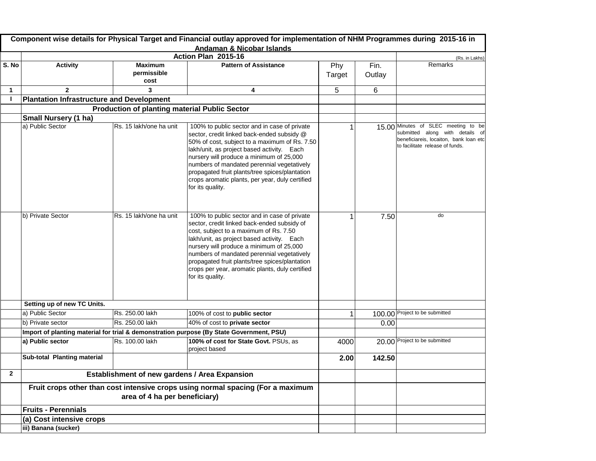| Action Plan 2015-16<br>(Rs. in Lakhs)<br><b>Activity</b><br>Remarks<br><b>Pattern of Assistance</b><br><b>Maximum</b><br>Fin.<br>Phy<br>permissible<br>Outlay<br>Target<br>cost<br>5<br>6<br>$\overline{2}$<br>3<br>4<br>1<br><b>Plantation Infrastructure and Development</b><br><b>Production of planting material Public Sector</b><br><b>Small Nursery (1 ha)</b><br>a) Public Sector<br>Rs. 15 lakh/one ha unit<br>15.00 Minutes of SLEC meeting to be<br>100% to public sector and in case of private<br>submitted along with details of<br>sector, credit linked back-ended subsidy @<br>beneficiareis, locaiton, bank loan etc<br>50% of cost, subject to a maximum of Rs. 7.50<br>to facilitate release of funds.<br>lakh/unit, as project based activity. Each<br>nursery will produce a minimum of 25,000<br>numbers of mandated perennial vegetatively<br>propagated fruit plants/tree spices/plantation<br>crops aromatic plants, per year, duly certified<br>for its quality.<br>b) Private Sector<br>Rs. 15 lakh/one ha unit<br>100% to public sector and in case of private<br>do<br>7.50<br>sector, credit linked back-ended subsidy of<br>cost, subject to a maximum of Rs. 7.50<br>lakh/unit, as project based activity. Each<br>nursery will produce a minimum of 25,000<br>numbers of mandated perennial vegetatively<br>propagated fruit plants/tree spices/plantation<br>crops per year, aromatic plants, duly certified<br>for its quality.<br>Setting up of new TC Units.<br>100.00 Project to be submitted<br>a) Public Sector<br>Rs. 250.00 lakh<br>100% of cost to public sector<br>Rs. 250.00 lakh<br>b) Private sector<br>40% of cost to private sector<br>0.00<br>Import of planting material for trial & demonstration purpose (By State Government, PSU)<br>Rs. 100.00 lakh<br>20.00 Project to be submitted<br>100% of cost for State Govt. PSUs, as<br>a) Public sector<br>4000<br>project based<br><b>Sub-total Planting material</b><br>142.50<br>2.00<br>$\mathbf{2}$<br><b>Establishment of new gardens / Area Expansion</b><br>Fruit crops other than cost intensive crops using normal spacing (For a maximum<br>area of 4 ha per beneficiary) |       |                            | Component wise details for Physical Target and Financial outlay approved for implementation of NHM Programmes during 2015-16 in<br><b>Andaman &amp; Nicobar Islands</b> |  |  |
|-----------------------------------------------------------------------------------------------------------------------------------------------------------------------------------------------------------------------------------------------------------------------------------------------------------------------------------------------------------------------------------------------------------------------------------------------------------------------------------------------------------------------------------------------------------------------------------------------------------------------------------------------------------------------------------------------------------------------------------------------------------------------------------------------------------------------------------------------------------------------------------------------------------------------------------------------------------------------------------------------------------------------------------------------------------------------------------------------------------------------------------------------------------------------------------------------------------------------------------------------------------------------------------------------------------------------------------------------------------------------------------------------------------------------------------------------------------------------------------------------------------------------------------------------------------------------------------------------------------------------------------------------------------------------------------------------------------------------------------------------------------------------------------------------------------------------------------------------------------------------------------------------------------------------------------------------------------------------------------------------------------------------------------------------------------------------------------------------------------------------------------------------------------------------------------------|-------|----------------------------|-------------------------------------------------------------------------------------------------------------------------------------------------------------------------|--|--|
|                                                                                                                                                                                                                                                                                                                                                                                                                                                                                                                                                                                                                                                                                                                                                                                                                                                                                                                                                                                                                                                                                                                                                                                                                                                                                                                                                                                                                                                                                                                                                                                                                                                                                                                                                                                                                                                                                                                                                                                                                                                                                                                                                                                         |       |                            |                                                                                                                                                                         |  |  |
|                                                                                                                                                                                                                                                                                                                                                                                                                                                                                                                                                                                                                                                                                                                                                                                                                                                                                                                                                                                                                                                                                                                                                                                                                                                                                                                                                                                                                                                                                                                                                                                                                                                                                                                                                                                                                                                                                                                                                                                                                                                                                                                                                                                         | S. No |                            |                                                                                                                                                                         |  |  |
|                                                                                                                                                                                                                                                                                                                                                                                                                                                                                                                                                                                                                                                                                                                                                                                                                                                                                                                                                                                                                                                                                                                                                                                                                                                                                                                                                                                                                                                                                                                                                                                                                                                                                                                                                                                                                                                                                                                                                                                                                                                                                                                                                                                         |       |                            |                                                                                                                                                                         |  |  |
|                                                                                                                                                                                                                                                                                                                                                                                                                                                                                                                                                                                                                                                                                                                                                                                                                                                                                                                                                                                                                                                                                                                                                                                                                                                                                                                                                                                                                                                                                                                                                                                                                                                                                                                                                                                                                                                                                                                                                                                                                                                                                                                                                                                         |       |                            |                                                                                                                                                                         |  |  |
|                                                                                                                                                                                                                                                                                                                                                                                                                                                                                                                                                                                                                                                                                                                                                                                                                                                                                                                                                                                                                                                                                                                                                                                                                                                                                                                                                                                                                                                                                                                                                                                                                                                                                                                                                                                                                                                                                                                                                                                                                                                                                                                                                                                         |       |                            |                                                                                                                                                                         |  |  |
|                                                                                                                                                                                                                                                                                                                                                                                                                                                                                                                                                                                                                                                                                                                                                                                                                                                                                                                                                                                                                                                                                                                                                                                                                                                                                                                                                                                                                                                                                                                                                                                                                                                                                                                                                                                                                                                                                                                                                                                                                                                                                                                                                                                         |       |                            |                                                                                                                                                                         |  |  |
|                                                                                                                                                                                                                                                                                                                                                                                                                                                                                                                                                                                                                                                                                                                                                                                                                                                                                                                                                                                                                                                                                                                                                                                                                                                                                                                                                                                                                                                                                                                                                                                                                                                                                                                                                                                                                                                                                                                                                                                                                                                                                                                                                                                         |       |                            |                                                                                                                                                                         |  |  |
|                                                                                                                                                                                                                                                                                                                                                                                                                                                                                                                                                                                                                                                                                                                                                                                                                                                                                                                                                                                                                                                                                                                                                                                                                                                                                                                                                                                                                                                                                                                                                                                                                                                                                                                                                                                                                                                                                                                                                                                                                                                                                                                                                                                         |       |                            |                                                                                                                                                                         |  |  |
|                                                                                                                                                                                                                                                                                                                                                                                                                                                                                                                                                                                                                                                                                                                                                                                                                                                                                                                                                                                                                                                                                                                                                                                                                                                                                                                                                                                                                                                                                                                                                                                                                                                                                                                                                                                                                                                                                                                                                                                                                                                                                                                                                                                         |       |                            |                                                                                                                                                                         |  |  |
|                                                                                                                                                                                                                                                                                                                                                                                                                                                                                                                                                                                                                                                                                                                                                                                                                                                                                                                                                                                                                                                                                                                                                                                                                                                                                                                                                                                                                                                                                                                                                                                                                                                                                                                                                                                                                                                                                                                                                                                                                                                                                                                                                                                         |       |                            |                                                                                                                                                                         |  |  |
|                                                                                                                                                                                                                                                                                                                                                                                                                                                                                                                                                                                                                                                                                                                                                                                                                                                                                                                                                                                                                                                                                                                                                                                                                                                                                                                                                                                                                                                                                                                                                                                                                                                                                                                                                                                                                                                                                                                                                                                                                                                                                                                                                                                         |       |                            |                                                                                                                                                                         |  |  |
|                                                                                                                                                                                                                                                                                                                                                                                                                                                                                                                                                                                                                                                                                                                                                                                                                                                                                                                                                                                                                                                                                                                                                                                                                                                                                                                                                                                                                                                                                                                                                                                                                                                                                                                                                                                                                                                                                                                                                                                                                                                                                                                                                                                         |       |                            |                                                                                                                                                                         |  |  |
|                                                                                                                                                                                                                                                                                                                                                                                                                                                                                                                                                                                                                                                                                                                                                                                                                                                                                                                                                                                                                                                                                                                                                                                                                                                                                                                                                                                                                                                                                                                                                                                                                                                                                                                                                                                                                                                                                                                                                                                                                                                                                                                                                                                         |       |                            |                                                                                                                                                                         |  |  |
|                                                                                                                                                                                                                                                                                                                                                                                                                                                                                                                                                                                                                                                                                                                                                                                                                                                                                                                                                                                                                                                                                                                                                                                                                                                                                                                                                                                                                                                                                                                                                                                                                                                                                                                                                                                                                                                                                                                                                                                                                                                                                                                                                                                         |       |                            |                                                                                                                                                                         |  |  |
|                                                                                                                                                                                                                                                                                                                                                                                                                                                                                                                                                                                                                                                                                                                                                                                                                                                                                                                                                                                                                                                                                                                                                                                                                                                                                                                                                                                                                                                                                                                                                                                                                                                                                                                                                                                                                                                                                                                                                                                                                                                                                                                                                                                         |       |                            |                                                                                                                                                                         |  |  |
|                                                                                                                                                                                                                                                                                                                                                                                                                                                                                                                                                                                                                                                                                                                                                                                                                                                                                                                                                                                                                                                                                                                                                                                                                                                                                                                                                                                                                                                                                                                                                                                                                                                                                                                                                                                                                                                                                                                                                                                                                                                                                                                                                                                         |       | <b>Fruits - Perennials</b> |                                                                                                                                                                         |  |  |
| (a) Cost intensive crops                                                                                                                                                                                                                                                                                                                                                                                                                                                                                                                                                                                                                                                                                                                                                                                                                                                                                                                                                                                                                                                                                                                                                                                                                                                                                                                                                                                                                                                                                                                                                                                                                                                                                                                                                                                                                                                                                                                                                                                                                                                                                                                                                                |       |                            |                                                                                                                                                                         |  |  |
| iii) Banana (sucker)                                                                                                                                                                                                                                                                                                                                                                                                                                                                                                                                                                                                                                                                                                                                                                                                                                                                                                                                                                                                                                                                                                                                                                                                                                                                                                                                                                                                                                                                                                                                                                                                                                                                                                                                                                                                                                                                                                                                                                                                                                                                                                                                                                    |       |                            |                                                                                                                                                                         |  |  |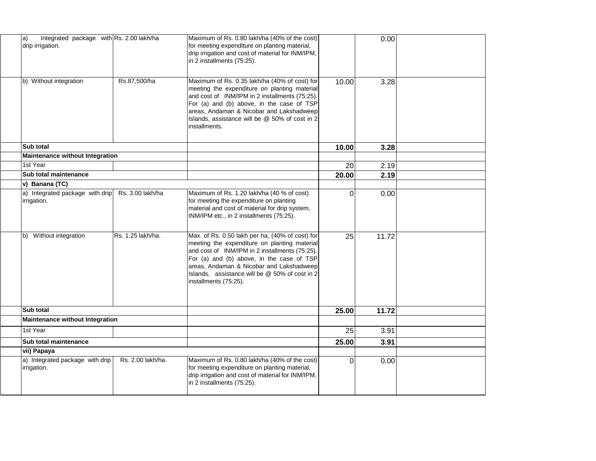| Integrated package with Rs. 2.00 lakh/ha<br>$ a\rangle$<br>drip irrigation. |                   | Maximum of Rs. 0.80 lakh/ha (40% of the cost)<br>for meeting expenditure on planting material,<br>drip irrigation and cost of material for INM/IPM,<br>in 2 installments (75:25).                                                                                                                                     |          | 0.00  |  |
|-----------------------------------------------------------------------------|-------------------|-----------------------------------------------------------------------------------------------------------------------------------------------------------------------------------------------------------------------------------------------------------------------------------------------------------------------|----------|-------|--|
| b) Without integration                                                      | Rs.87,500/ha      | Maximum of Rs. 0.35 lakh/ha (40% of cost) for<br>meeting the expenditure on planting material<br>and cost of INM/IPM in 2 installments (75:25).<br>For (a) and (b) above, in the case of TSP<br>areas, Andaman & Nicobar and Lakshadweep<br>Islands, assistance will be @ 50% of cost in 2<br>installments.           | 10.00    | 3.28  |  |
| <b>Sub total</b>                                                            |                   |                                                                                                                                                                                                                                                                                                                       | 10.00    | 3.28  |  |
| <b>Maintenance without Integration</b>                                      |                   |                                                                                                                                                                                                                                                                                                                       |          |       |  |
| 1st Year                                                                    |                   |                                                                                                                                                                                                                                                                                                                       | 20       | 2.19  |  |
| <b>Sub total maintenance</b>                                                |                   |                                                                                                                                                                                                                                                                                                                       | 20.00    | 2.19  |  |
| v) Banana (TC)                                                              |                   |                                                                                                                                                                                                                                                                                                                       |          |       |  |
| a) Integrated package with drip<br>irrigation.                              | Rs. 3.00 lakh/ha  | Maximum of Rs. 1.20 lakh/ha (40 % of cost)<br>for meeting the expenditure on planting<br>material and cost of material for drip system,<br>INM/IPM etc., in 2 installments (75:25).                                                                                                                                   | 0        | 0.00  |  |
| Without integration<br>lb)                                                  | Rs. 1.25 lakh/ha. | Max. of Rs. 0.50 lakh per ha, (40% of cost) for<br>meeting the expenditure on planting material<br>and cost of INM/IPM in 2 installments (75:25).<br>For (a) and (b) above, in the case of TSP<br>areas, Andaman & Nicobar and Lakshadweep<br>Islands, assistance will be @ 50% of cost in 2<br>installments (75:25). | 25       | 11.72 |  |
| <b>Sub total</b>                                                            |                   |                                                                                                                                                                                                                                                                                                                       | 25.00    | 11.72 |  |
| <b>Maintenance without Integration</b>                                      |                   |                                                                                                                                                                                                                                                                                                                       |          |       |  |
| 1st Year                                                                    |                   |                                                                                                                                                                                                                                                                                                                       | 25       | 3.91  |  |
| Sub total maintenance                                                       |                   |                                                                                                                                                                                                                                                                                                                       | 25.00    | 3.91  |  |
| vii) Papaya                                                                 |                   |                                                                                                                                                                                                                                                                                                                       |          |       |  |
| a) Integrated package with drip<br>irrigation.                              | Rs. 2.00 lakh/ha. | Maximum of Rs. 0.80 lakh/ha (40% of the cost)<br>for meeting expenditure on planting material,<br>drip irrigation and cost of material for INM/IPM,<br>in 2 installments (75:25).                                                                                                                                     | $\Omega$ | 0.00  |  |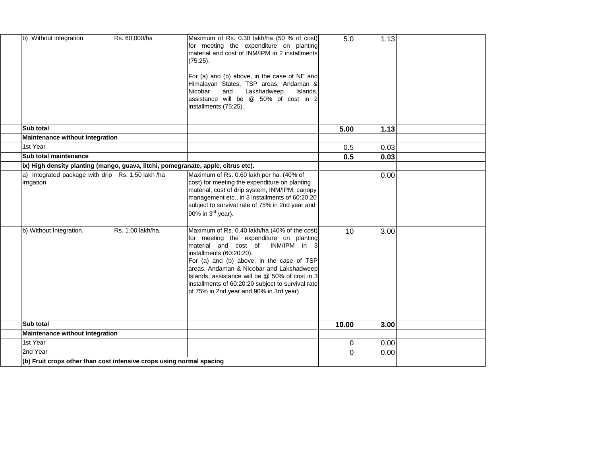| b) Without integration                                                             | Rs. 60,000/ha     | Maximum of Rs. 0.30 lakh/ha (50 % of cost)<br>for meeting the expenditure on planting<br>material and cost of INM/IPM in 2 installments<br>(75:25).<br>For (a) and (b) above, in the case of NE and                                                                                                                                                                                                          | 5.0   | 1.13 |  |
|------------------------------------------------------------------------------------|-------------------|--------------------------------------------------------------------------------------------------------------------------------------------------------------------------------------------------------------------------------------------------------------------------------------------------------------------------------------------------------------------------------------------------------------|-------|------|--|
|                                                                                    |                   | Himalayan States, TSP areas, Andaman &<br>Lakshadweep<br>Nicobar<br>and<br>Islands,<br>assistance will be @ 50% of cost in 2<br>installments (75:25).                                                                                                                                                                                                                                                        |       |      |  |
| <b>Sub total</b>                                                                   |                   |                                                                                                                                                                                                                                                                                                                                                                                                              | 5.00  | 1.13 |  |
| <b>Maintenance without Integration</b>                                             |                   |                                                                                                                                                                                                                                                                                                                                                                                                              |       |      |  |
| 1st Year                                                                           |                   |                                                                                                                                                                                                                                                                                                                                                                                                              | 0.5   | 0.03 |  |
| <b>Sub total maintenance</b>                                                       |                   |                                                                                                                                                                                                                                                                                                                                                                                                              | 0.5   | 0.03 |  |
| (ix) High density planting (mango, guava, litchi, pomegranate, apple, citrus etc). |                   |                                                                                                                                                                                                                                                                                                                                                                                                              |       |      |  |
| a) Integrated package with drip Rs. 1.50 lakh /ha<br>irrigation                    |                   | Maximum of Rs. 0.60 lakh per ha. (40% of<br>cost) for meeting the expenditure on planting<br>material, cost of drip system, INM/IPM, canopy<br>management etc., in 3 installments of 60:20:20<br>subject to survival rate of 75% in 2nd year and<br>90% in $3^{\text{rd}}$ year).                                                                                                                            |       | 0.00 |  |
| b) Without Integration.                                                            | Rs. 1.00 lakh/ha. | Maximum of Rs. 0.40 lakh/ha (40% of the cost)<br>for meeting the expenditure on planting<br>material and cost of<br>INM/IPM in<br>-31<br>installments (60:20:20).<br>For (a) and (b) above, in the case of TSP<br>areas, Andaman & Nicobar and Lakshadweep<br>Islands, assistance will be @ 50% of cost in 3<br>installments of 60:20:20 subject to survival rate<br>of 75% in 2nd year and 90% in 3rd year) | 10    | 3.00 |  |
| <b>Sub total</b>                                                                   |                   |                                                                                                                                                                                                                                                                                                                                                                                                              | 10.00 | 3.00 |  |
| <b>Maintenance without Integration</b>                                             |                   |                                                                                                                                                                                                                                                                                                                                                                                                              |       |      |  |
| 1st Year                                                                           |                   |                                                                                                                                                                                                                                                                                                                                                                                                              |       | 0.00 |  |
| 2nd Year                                                                           |                   |                                                                                                                                                                                                                                                                                                                                                                                                              |       | 0.00 |  |
| (b) Fruit crops other than cost intensive crops using normal spacing               |                   |                                                                                                                                                                                                                                                                                                                                                                                                              |       |      |  |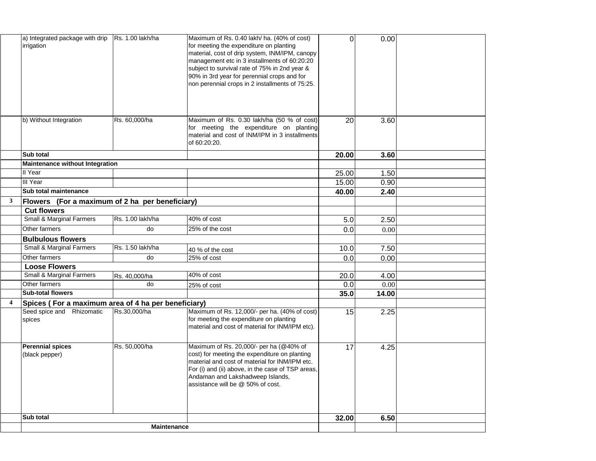|                         | a) Integrated package with drip<br>irrigation       | Rs. 1.00 lakh/ha | Maximum of Rs. 0.40 lakh/ ha. (40% of cost)<br>for meeting the expenditure on planting<br>material, cost of drip system, INM/IPM, canopy<br>management etc in 3 installments of 60:20:20<br>subject to survival rate of 75% in 2nd year &<br>90% in 3rd year for perennial crops and for<br>non perennial crops in 2 installments of 75:25. | $\Omega$ | 0.00  |  |
|-------------------------|-----------------------------------------------------|------------------|---------------------------------------------------------------------------------------------------------------------------------------------------------------------------------------------------------------------------------------------------------------------------------------------------------------------------------------------|----------|-------|--|
|                         | b) Without Integration                              | Rs. 60,000/ha    | Maximum of Rs. 0.30 lakh/ha (50 % of cost)<br>for meeting the expenditure on planting<br>material and cost of INM/IPM in 3 installments<br>of 60:20:20.                                                                                                                                                                                     | 20       | 3.60  |  |
|                         | <b>Sub total</b>                                    |                  |                                                                                                                                                                                                                                                                                                                                             | 20.00    | 3.60  |  |
|                         | Maintenance without Integration                     |                  |                                                                                                                                                                                                                                                                                                                                             |          |       |  |
|                         | II Year                                             |                  |                                                                                                                                                                                                                                                                                                                                             | 25.00    | 1.50  |  |
|                         | III Year                                            |                  |                                                                                                                                                                                                                                                                                                                                             | 15.00    | 0.90  |  |
|                         | <b>Sub total maintenance</b>                        |                  |                                                                                                                                                                                                                                                                                                                                             | 40.00    | 2.40  |  |
| 3 <sup>1</sup>          | Flowers (For a maximum of 2 ha per beneficiary)     |                  |                                                                                                                                                                                                                                                                                                                                             |          |       |  |
|                         | <b>Cut flowers</b>                                  |                  |                                                                                                                                                                                                                                                                                                                                             |          |       |  |
|                         | <b>Small &amp; Marginal Farmers</b>                 | Rs. 1.00 lakh/ha | 40% of cost                                                                                                                                                                                                                                                                                                                                 | 5.0      | 2.50  |  |
|                         | Other farmers                                       | do               | 25% of the cost                                                                                                                                                                                                                                                                                                                             | 0.0      | 0.00  |  |
|                         | <b>Bulbulous flowers</b>                            |                  |                                                                                                                                                                                                                                                                                                                                             |          |       |  |
|                         | <b>Small &amp; Marginal Farmers</b>                 | Rs. 1.50 lakh/ha | 40 % of the cost                                                                                                                                                                                                                                                                                                                            | 10.0     | 7.50  |  |
|                         | Other farmers                                       | do               | 25% of cost                                                                                                                                                                                                                                                                                                                                 | 0.0      | 0.00  |  |
|                         | <b>Loose Flowers</b>                                |                  |                                                                                                                                                                                                                                                                                                                                             |          |       |  |
|                         | <b>Small &amp; Marginal Farmers</b>                 | Rs. 40,000/ha    | 40% of cost                                                                                                                                                                                                                                                                                                                                 | 20.0     | 4.00  |  |
|                         | Other farmers                                       | do               | 25% of cost                                                                                                                                                                                                                                                                                                                                 | 0.0      | 0.00  |  |
|                         | <b>Sub-total flowers</b>                            |                  |                                                                                                                                                                                                                                                                                                                                             | 35.0     | 14.00 |  |
| $\overline{\mathbf{4}}$ | Spices (For a maximum area of 4 ha per beneficiary) |                  |                                                                                                                                                                                                                                                                                                                                             |          |       |  |
|                         | Seed spice and Rhizomatic<br>spices                 | Rs.30,000/ha     | Maximum of Rs. 12,000/- per ha. (40% of cost)<br>for meeting the expenditure on planting<br>material and cost of material for INM/IPM etc).                                                                                                                                                                                                 | 15       | 2.25  |  |
|                         | <b>Perennial spices</b><br>(black pepper)           | Rs. 50,000/ha    | Maximum of Rs. 20,000/- per ha (@40% of<br>cost) for meeting the expenditure on planting<br>material and cost of material for INM/IPM etc.<br>For (i) and (ii) above, in the case of TSP areas,<br>Andaman and Lakshadweep Islands,<br>assistance will be @ 50% of cost.                                                                    | 17       | 4.25  |  |
|                         | <b>Sub total</b>                                    |                  |                                                                                                                                                                                                                                                                                                                                             | 32.00    | 6.50  |  |
|                         | <b>Maintenance</b>                                  |                  |                                                                                                                                                                                                                                                                                                                                             |          |       |  |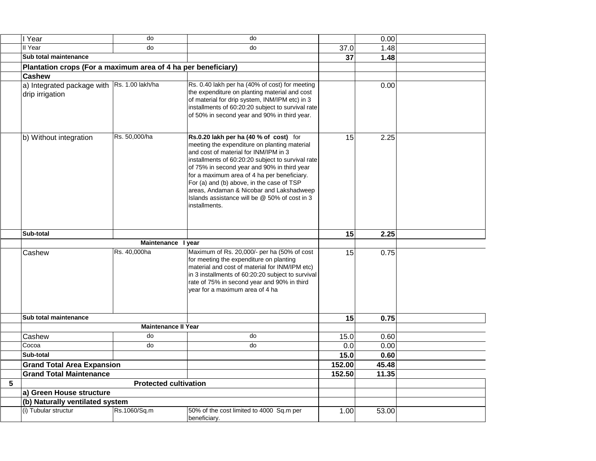|   | I Year                                                        | do                           | do                                                                                                                                                                                                                                                                                                                                                                                                                                            |        | 0.00  |  |
|---|---------------------------------------------------------------|------------------------------|-----------------------------------------------------------------------------------------------------------------------------------------------------------------------------------------------------------------------------------------------------------------------------------------------------------------------------------------------------------------------------------------------------------------------------------------------|--------|-------|--|
|   | II Year                                                       | do                           | do                                                                                                                                                                                                                                                                                                                                                                                                                                            | 37.0   | 1.48  |  |
|   | Sub total maintenance                                         |                              |                                                                                                                                                                                                                                                                                                                                                                                                                                               | 37     | 1.48  |  |
|   | Plantation crops (For a maximum area of 4 ha per beneficiary) |                              |                                                                                                                                                                                                                                                                                                                                                                                                                                               |        |       |  |
|   | <b>Cashew</b>                                                 |                              |                                                                                                                                                                                                                                                                                                                                                                                                                                               |        |       |  |
|   | a) Integrated package with<br>drip irrigation                 | Rs. 1.00 lakh/ha             | Rs. 0.40 lakh per ha (40% of cost) for meeting<br>the expenditure on planting material and cost<br>of material for drip system, INM/IPM etc) in 3<br>installments of 60:20:20 subject to survival rate<br>of 50% in second year and 90% in third year.                                                                                                                                                                                        |        | 0.00  |  |
|   | b) Without integration                                        | Rs. 50,000/ha                | Rs.0.20 lakh per ha (40 % of cost) for<br>meeting the expenditure on planting material<br>and cost of material for INM/IPM in 3<br>installments of 60:20:20 subject to survival rate<br>of 75% in second year and 90% in third year<br>for a maximum area of 4 ha per beneficiary.<br>For (a) and (b) above, in the case of TSP<br>areas, Andaman & Nicobar and Lakshadweep<br>Islands assistance will be @ 50% of cost in 3<br>installments. | 15     | 2.25  |  |
|   | Sub-total                                                     |                              |                                                                                                                                                                                                                                                                                                                                                                                                                                               | 15     | 2.25  |  |
|   |                                                               | Maintenance I year           |                                                                                                                                                                                                                                                                                                                                                                                                                                               |        |       |  |
|   | Cashew                                                        | Rs. 40,000ha                 | Maximum of Rs. 20,000/- per ha (50% of cost                                                                                                                                                                                                                                                                                                                                                                                                   | 15     | 0.75  |  |
|   |                                                               |                              | for meeting the expenditure on planting<br>material and cost of material for INM/IPM etc)<br>in 3 installments of 60:20:20 subject to survival<br>rate of 75% in second year and 90% in third<br>year for a maximum area of 4 ha                                                                                                                                                                                                              |        |       |  |
|   | Sub total maintenance                                         |                              |                                                                                                                                                                                                                                                                                                                                                                                                                                               | 15     | 0.75  |  |
|   | <b>Maintenance II Year</b>                                    |                              |                                                                                                                                                                                                                                                                                                                                                                                                                                               |        |       |  |
|   | Cashew                                                        | do                           | do                                                                                                                                                                                                                                                                                                                                                                                                                                            | 15.0   | 0.60  |  |
|   | Cocoa                                                         | do                           | do                                                                                                                                                                                                                                                                                                                                                                                                                                            | 0.0    | 0.00  |  |
|   | Sub-total                                                     |                              |                                                                                                                                                                                                                                                                                                                                                                                                                                               | 15.0   | 0.60  |  |
|   | <b>Grand Total Area Expansion</b>                             |                              |                                                                                                                                                                                                                                                                                                                                                                                                                                               | 152.00 | 45.48 |  |
|   | <b>Grand Total Maintenance</b>                                |                              |                                                                                                                                                                                                                                                                                                                                                                                                                                               | 152.50 | 11.35 |  |
| 5 |                                                               | <b>Protected cultivation</b> |                                                                                                                                                                                                                                                                                                                                                                                                                                               |        |       |  |
|   | a) Green House structure                                      |                              |                                                                                                                                                                                                                                                                                                                                                                                                                                               |        |       |  |
|   | (b) Naturally ventilated system                               |                              |                                                                                                                                                                                                                                                                                                                                                                                                                                               |        |       |  |
|   | (i) Tubular structur                                          | Rs.1060/Sq.m                 | 50% of the cost limited to 4000 Sq.m per<br>beneficiary.                                                                                                                                                                                                                                                                                                                                                                                      | 1.00   | 53.00 |  |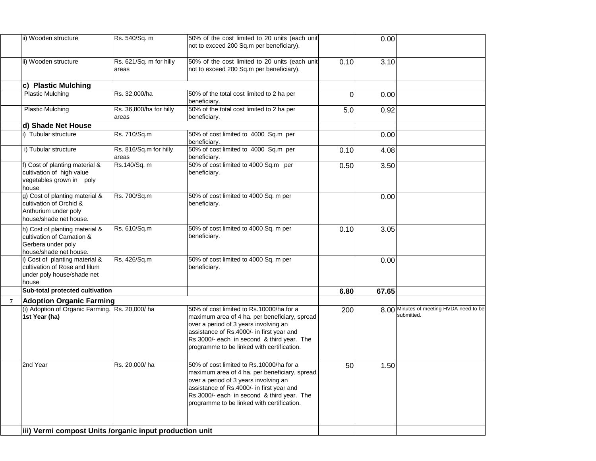| ii) Wooden structure                                                                                         | Rs. 540/Sq. m                    | 50% of the cost limited to 20 units (each unit                                                                                                                                                                                                                              |                | 0.00  |                                                       |
|--------------------------------------------------------------------------------------------------------------|----------------------------------|-----------------------------------------------------------------------------------------------------------------------------------------------------------------------------------------------------------------------------------------------------------------------------|----------------|-------|-------------------------------------------------------|
|                                                                                                              |                                  | not to exceed 200 Sq.m per beneficiary).                                                                                                                                                                                                                                    |                |       |                                                       |
| ii) Wooden structure                                                                                         | Rs. 621/Sq. m for hilly<br>areas | 50% of the cost limited to 20 units (each unit<br>not to exceed 200 Sq.m per beneficiary).                                                                                                                                                                                  | 0.10           | 3.10  |                                                       |
| <b>Plastic Mulching</b><br>C)                                                                                |                                  |                                                                                                                                                                                                                                                                             |                |       |                                                       |
| <b>Plastic Mulching</b>                                                                                      | Rs. 32,000/ha                    | 50% of the total cost limited to 2 ha per<br>beneficiary.                                                                                                                                                                                                                   | $\overline{0}$ | 0.00  |                                                       |
| <b>Plastic Mulching</b>                                                                                      | Rs. 36,800/ha for hilly<br>areas | 50% of the total cost limited to 2 ha per<br>beneficiary.                                                                                                                                                                                                                   | 5.0            | 0.92  |                                                       |
| d) Shade Net House                                                                                           |                                  |                                                                                                                                                                                                                                                                             |                |       |                                                       |
| <b>Tubular structure</b>                                                                                     | Rs. 710/Sq.m                     | 50% of cost limited to 4000 Sq.m per<br>beneficiary.                                                                                                                                                                                                                        |                | 0.00  |                                                       |
| i) Tubular structure                                                                                         | Rs. 816/Sq.m for hilly<br>areas  | 50% of cost limited to 4000 Sq.m per<br>beneficiary.                                                                                                                                                                                                                        | 0.10           | 4.08  |                                                       |
| Cost of planting material &<br>cultivation of high value<br>vegetables grown in poly<br>house                | Rs.140/Sq. m                     | 50% of cost limited to 4000 Sq.m per<br>beneficiary.                                                                                                                                                                                                                        | 0.50           | 3.50  |                                                       |
| g) Cost of planting material &<br>cultivation of Orchid &<br>Anthurium under poly<br>Ihouse/shade net house. | Rs. 700/Sq.m                     | 50% of cost limited to 4000 Sq. m per<br>beneficiary.                                                                                                                                                                                                                       |                | 0.00  |                                                       |
| h) Cost of planting material &<br>cultivation of Carnation &<br>Gerbera under poly<br>house/shade net house. | Rs. 610/Sq.m                     | 50% of cost limited to 4000 Sq. m per<br>beneficiary.                                                                                                                                                                                                                       | 0.10           | 3.05  |                                                       |
| i) Cost of planting material &<br>cultivation of Rose and lilum<br>under poly house/shade net<br>house       | Rs. 426/Sq.m                     | 50% of cost limited to 4000 Sq. m per<br>beneficiary.                                                                                                                                                                                                                       |                | 0.00  |                                                       |
| Sub-total protected cultivation                                                                              |                                  |                                                                                                                                                                                                                                                                             | 6.80           | 67.65 |                                                       |
| <b>Adoption Organic Farming</b>                                                                              |                                  |                                                                                                                                                                                                                                                                             |                |       |                                                       |
| (i) Adoption of Organic Farming. Rs. 20,000/ha<br>1st Year (ha)                                              |                                  | 50% of cost limited to Rs.10000/ha for a<br>maximum area of 4 ha. per beneficiary, spread<br>over a period of 3 years involving an<br>assistance of Rs.4000/- in first year and<br>Rs.3000/- each in second & third year. The<br>programme to be linked with certification. | 200            |       | 8.00 Minutes of meeting HVDA need to be<br>submitted. |
| 2nd Year                                                                                                     | Rs. 20,000/ha                    | 50% of cost limited to Rs.10000/ha for a<br>maximum area of 4 ha. per beneficiary, spread<br>over a period of 3 years involving an<br>assistance of Rs.4000/- in first year and<br>Rs.3000/- each in second & third year. The<br>programme to be linked with certification. | 50             | 1.50  |                                                       |
| iii) Vermi compost Units /organic input production unit                                                      |                                  |                                                                                                                                                                                                                                                                             |                |       |                                                       |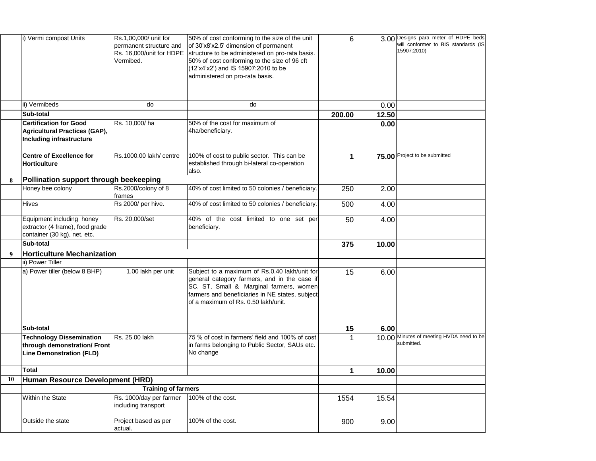|           | i) Vermi compost Units                                                                             | Rs.1,00,000/ unit for<br>permanent structure and<br>Rs. 16,000/unit for HDPE<br>Vermibed. | 50% of cost conforming to the size of the unit<br>of 30'x8'x2.5' dimension of permanent<br>structure to be administered on pro-rata basis.<br>50% of cost conforming to the size of 96 cft<br>$(12^x)(4^x)(2^x)$ and IS 15907:2010 to be<br>administered on pro-rata basis. | 61     |       | 3.00 Designs para meter of HDPE beds<br>will conformer to BIS standards (IS<br>15907:2010) |
|-----------|----------------------------------------------------------------------------------------------------|-------------------------------------------------------------------------------------------|-----------------------------------------------------------------------------------------------------------------------------------------------------------------------------------------------------------------------------------------------------------------------------|--------|-------|--------------------------------------------------------------------------------------------|
|           | ii) Vermibeds                                                                                      | do                                                                                        | do                                                                                                                                                                                                                                                                          |        | 0.00  |                                                                                            |
|           | <b>Sub-total</b>                                                                                   |                                                                                           |                                                                                                                                                                                                                                                                             | 200.00 | 12.50 |                                                                                            |
|           | <b>Certification for Good</b><br>Agricultural Practices (GAP),<br>Including infrastructure         | Rs. 10,000/ha                                                                             | 50% of the cost for maximum of<br>4ha/beneficiary.                                                                                                                                                                                                                          |        | 0.00  |                                                                                            |
|           | <b>Centre of Excellence for</b><br><b>Horticulture</b>                                             | Rs.1000.00 lakh/ centre                                                                   | 100% of cost to public sector. This can be<br>established through bi-lateral co-operation<br>also.                                                                                                                                                                          |        |       | 75.00 Project to be submitted                                                              |
| 8         | Pollination support through beekeeping                                                             |                                                                                           |                                                                                                                                                                                                                                                                             |        |       |                                                                                            |
|           | Honey bee colony                                                                                   | Rs.2000/colony of 8<br>frames                                                             | 40% of cost limited to 50 colonies / beneficiary.                                                                                                                                                                                                                           | 250    | 2.00  |                                                                                            |
|           | <b>Hives</b>                                                                                       | Rs 2000/ per hive.                                                                        | 40% of cost limited to 50 colonies / beneficiary.                                                                                                                                                                                                                           | 500    | 4.00  |                                                                                            |
|           | Equipment including honey<br>extractor (4 frame), food grade<br>container (30 kg), net, etc.       | Rs. 20,000/set                                                                            | 40% of the cost limited to one set per<br>beneficiary.                                                                                                                                                                                                                      | 50     | 4.00  |                                                                                            |
|           | <b>Sub-total</b>                                                                                   |                                                                                           |                                                                                                                                                                                                                                                                             | 375    | 10.00 |                                                                                            |
| 9         | <b>Horticulture Mechanization</b>                                                                  |                                                                                           |                                                                                                                                                                                                                                                                             |        |       |                                                                                            |
|           | ii) Power Tiller                                                                                   |                                                                                           |                                                                                                                                                                                                                                                                             |        |       |                                                                                            |
|           | a) Power tiller (below 8 BHP)                                                                      | 1.00 lakh per unit                                                                        | Subject to a maximum of Rs.0.40 lakh/unit for<br>general category farmers, and in the case if<br>SC, ST, Small & Marginal farmers, women<br>farmers and beneficiaries in NE states, subject<br>lof a maximum of Rs. 0.50 lakh/unit.                                         | 15     | 6.00  |                                                                                            |
|           | <b>Sub-total</b>                                                                                   |                                                                                           |                                                                                                                                                                                                                                                                             | 15     | 6.00  |                                                                                            |
|           | <b>Technology Dissemination</b><br>through demonstration/ Front<br><b>Line Demonstration (FLD)</b> | Rs. 25.00 lakh                                                                            | 75 % of cost in farmers' field and 100% of cost<br>In farms belonging to Public Sector, SAUs etc.<br>No change                                                                                                                                                              |        |       | 10.00 Minutes of meeting HVDA need to be<br>submitted.                                     |
|           | <b>Total</b>                                                                                       |                                                                                           |                                                                                                                                                                                                                                                                             |        | 10.00 |                                                                                            |
| <b>10</b> | Human Resource Development (HRD)                                                                   |                                                                                           |                                                                                                                                                                                                                                                                             |        |       |                                                                                            |
|           |                                                                                                    | <b>Training of farmers</b>                                                                |                                                                                                                                                                                                                                                                             |        |       |                                                                                            |
|           | <b>Within the State</b>                                                                            | Rs. 1000/day per farmer<br>including transport                                            | 100% of the cost.                                                                                                                                                                                                                                                           | 1554   | 15.54 |                                                                                            |
|           | Outside the state                                                                                  | Project based as per<br>actual.                                                           | 100% of the cost.                                                                                                                                                                                                                                                           | 900    | 9.00  |                                                                                            |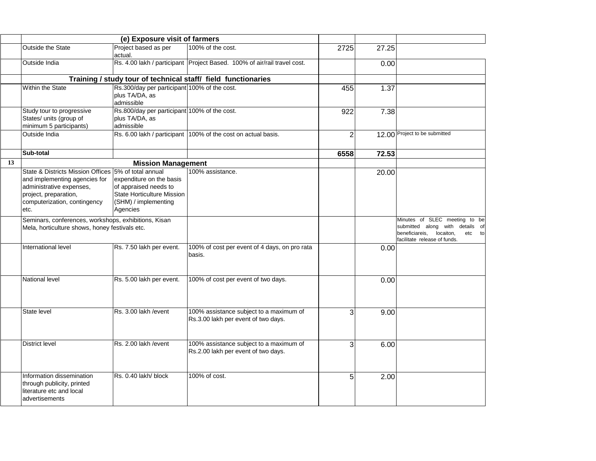|    | (e) Exposure visit of farmers                                                                                                                                                      |                                                                                                                            |                                                                                |      |       |                                                                                                                                            |
|----|------------------------------------------------------------------------------------------------------------------------------------------------------------------------------------|----------------------------------------------------------------------------------------------------------------------------|--------------------------------------------------------------------------------|------|-------|--------------------------------------------------------------------------------------------------------------------------------------------|
|    | <b>Outside the State</b>                                                                                                                                                           | Project based as per<br>actual.                                                                                            | 100% of the cost.                                                              | 2725 | 27.25 |                                                                                                                                            |
|    | Outside India                                                                                                                                                                      |                                                                                                                            | Rs. 4.00 lakh / participant   Project Based. 100% of air/rail travel cost.     |      | 0.00  |                                                                                                                                            |
|    |                                                                                                                                                                                    |                                                                                                                            | Training / study tour of technical staff/ field functionaries                  |      |       |                                                                                                                                            |
|    | <b>Within the State</b>                                                                                                                                                            | Rs.300/day per participant 100% of the cost.<br>plus TA/DA, as<br>admissible                                               |                                                                                | 455  | 1.37  |                                                                                                                                            |
|    | Study tour to progressive<br>States/ units (group of<br>minimum 5 participants)                                                                                                    | Rs.800/day per participant 100% of the cost.<br>plus TA/DA, as<br>admissible                                               |                                                                                | 922  | 7.38  |                                                                                                                                            |
|    | Outside India                                                                                                                                                                      |                                                                                                                            | Rs. 6.00 lakh / participant   100% of the cost on actual basis.                |      |       | 12.00 Project to be submitted                                                                                                              |
|    | <b>Sub-total</b>                                                                                                                                                                   |                                                                                                                            |                                                                                | 6558 | 72.53 |                                                                                                                                            |
| 13 |                                                                                                                                                                                    | <b>Mission Management</b>                                                                                                  |                                                                                |      |       |                                                                                                                                            |
|    | State & Districts Mission Offices 5% of total annual<br>and implementing agencies for<br>administrative expenses,<br>project, preparation,<br>computerization, contingency<br>etc. | expenditure on the basis<br>of appraised needs to<br><b>State Horticulture Mission</b><br>(SHM) / implementing<br>Agencies | 100% assistance.                                                               |      | 20.00 |                                                                                                                                            |
|    | Seminars, conferences, workshops, exhibitions, Kisan<br>Mela, horticulture shows, honey festivals etc.                                                                             |                                                                                                                            |                                                                                |      |       | Minutes of SLEC meeting to be<br>submitted along with details of<br>beneficiareis, locaiton,<br>etc<br>tol<br>facilitate release of funds. |
|    | International level                                                                                                                                                                | Rs. 7.50 lakh per event.                                                                                                   | 100% of cost per event of 4 days, on pro rata<br>basis.                        |      | 0.00  |                                                                                                                                            |
|    | National level                                                                                                                                                                     | Rs. 5.00 lakh per event.                                                                                                   | 100% of cost per event of two days.                                            |      | 0.00  |                                                                                                                                            |
|    | State level                                                                                                                                                                        | Rs. 3.00 lakh / event                                                                                                      | 100% assistance subject to a maximum of<br>Rs.3.00 lakh per event of two days. |      | 9.00  |                                                                                                                                            |
|    | <b>District level</b>                                                                                                                                                              | Rs. 2.00 lakh / event                                                                                                      | 100% assistance subject to a maximum of<br>Rs.2.00 lakh per event of two days. | 3    | 6.00  |                                                                                                                                            |
|    | Information dissemination<br>through publicity, printed<br>literature etc and local<br>advertisements                                                                              | Rs. 0.40 lakh/ block                                                                                                       | 100% of cost.                                                                  | 5    | 2.00  |                                                                                                                                            |